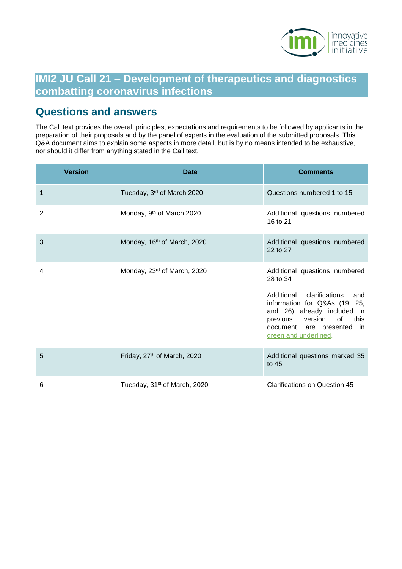

# **IMI2 JU Call 21 – Development of therapeutics and diagnostics combatting coronavirus infections**

# <span id="page-0-0"></span>**Questions and answers**

The Call text provides the overall principles, expectations and requirements to be followed by applicants in the preparation of their proposals and by the panel of experts in the evaluation of the submitted proposals. This Q&A document aims to explain some aspects in more detail, but is by no means intended to be exhaustive, nor should it differ from anything stated in the Call text.

| <b>Version</b> | <b>Date</b>                              | <b>Comments</b>                                                                                                                                                                     |
|----------------|------------------------------------------|-------------------------------------------------------------------------------------------------------------------------------------------------------------------------------------|
| 1              | Tuesday, 3rd of March 2020               | Questions numbered 1 to 15                                                                                                                                                          |
| $\overline{2}$ | Monday, 9 <sup>th</sup> of March 2020    | Additional questions numbered<br>16 to 21                                                                                                                                           |
| 3              | Monday, 16 <sup>th</sup> of March, 2020  | Additional questions numbered<br>22 to 27                                                                                                                                           |
| 4              | Monday, 23 <sup>rd</sup> of March, 2020  | Additional questions numbered<br>28 to 34                                                                                                                                           |
|                |                                          | Additional clarifications<br>and<br>information for Q&As (19, 25,<br>and 26) already included in<br>previous version of this<br>document, are presented in<br>green and underlined. |
| 5              | Friday, 27 <sup>th</sup> of March, 2020  | Additional questions marked 35<br>to 45                                                                                                                                             |
| 6              | Tuesday, 31 <sup>st</sup> of March, 2020 | Clarifications on Question 45                                                                                                                                                       |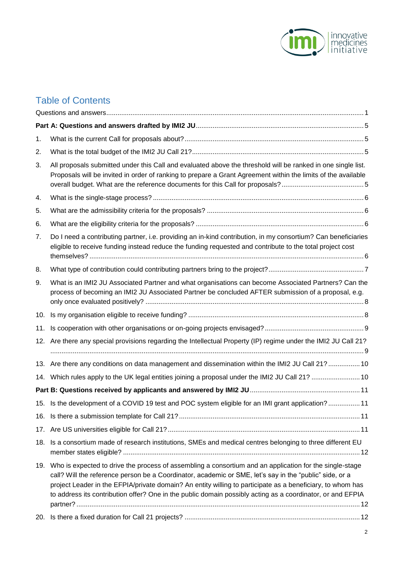

# Table of Contents

| 1.  |                                                                                                                                                                                                                                                                                                                                                                                                                                                    |  |
|-----|----------------------------------------------------------------------------------------------------------------------------------------------------------------------------------------------------------------------------------------------------------------------------------------------------------------------------------------------------------------------------------------------------------------------------------------------------|--|
| 2.  |                                                                                                                                                                                                                                                                                                                                                                                                                                                    |  |
| 3.  | All proposals submitted under this Call and evaluated above the threshold will be ranked in one single list.<br>Proposals will be invited in order of ranking to prepare a Grant Agreement within the limits of the available                                                                                                                                                                                                                      |  |
| 4.  |                                                                                                                                                                                                                                                                                                                                                                                                                                                    |  |
| 5.  |                                                                                                                                                                                                                                                                                                                                                                                                                                                    |  |
| 6.  |                                                                                                                                                                                                                                                                                                                                                                                                                                                    |  |
| 7.  | Do I need a contributing partner, i.e. providing an in-kind contribution, in my consortium? Can beneficiaries<br>eligible to receive funding instead reduce the funding requested and contribute to the total project cost                                                                                                                                                                                                                         |  |
| 8.  |                                                                                                                                                                                                                                                                                                                                                                                                                                                    |  |
| 9.  | What is an IMI2 JU Associated Partner and what organisations can become Associated Partners? Can the<br>process of becoming an IMI2 JU Associated Partner be concluded AFTER submission of a proposal, e.g.                                                                                                                                                                                                                                        |  |
| 10. |                                                                                                                                                                                                                                                                                                                                                                                                                                                    |  |
| 11. |                                                                                                                                                                                                                                                                                                                                                                                                                                                    |  |
| 12. | Are there any special provisions regarding the Intellectual Property (IP) regime under the IMI2 JU Call 21?                                                                                                                                                                                                                                                                                                                                        |  |
|     | 13. Are there any conditions on data management and dissemination within the IMI2 JU Call 21?  10                                                                                                                                                                                                                                                                                                                                                  |  |
|     | 14. Which rules apply to the UK legal entities joining a proposal under the IMI2 JU Call 21?  10                                                                                                                                                                                                                                                                                                                                                   |  |
|     |                                                                                                                                                                                                                                                                                                                                                                                                                                                    |  |
|     | 15. Is the development of a COVID 19 test and POC system eligible for an IMI grant application? 11                                                                                                                                                                                                                                                                                                                                                 |  |
|     |                                                                                                                                                                                                                                                                                                                                                                                                                                                    |  |
| 17. |                                                                                                                                                                                                                                                                                                                                                                                                                                                    |  |
| 18. | Is a consortium made of research institutions, SMEs and medical centres belonging to three different EU                                                                                                                                                                                                                                                                                                                                            |  |
|     | 19. Who is expected to drive the process of assembling a consortium and an application for the single-stage<br>call? Will the reference person be a Coordinator, academic or SME, let's say in the "public" side, or a<br>project Leader in the EFPIA/private domain? An entity willing to participate as a beneficiary, to whom has<br>to address its contribution offer? One in the public domain possibly acting as a coordinator, or and EFPIA |  |
| 20. |                                                                                                                                                                                                                                                                                                                                                                                                                                                    |  |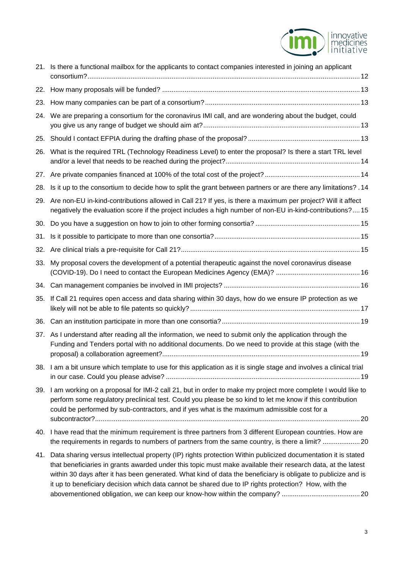

| 21. | Is there a functional mailbox for the applicants to contact companies interested in joining an applicant                                                                                                                                                                                                                                                                                                                                               |  |
|-----|--------------------------------------------------------------------------------------------------------------------------------------------------------------------------------------------------------------------------------------------------------------------------------------------------------------------------------------------------------------------------------------------------------------------------------------------------------|--|
|     |                                                                                                                                                                                                                                                                                                                                                                                                                                                        |  |
| 23. |                                                                                                                                                                                                                                                                                                                                                                                                                                                        |  |
| 24. | We are preparing a consortium for the coronavirus IMI call, and are wondering about the budget, could                                                                                                                                                                                                                                                                                                                                                  |  |
| 25. |                                                                                                                                                                                                                                                                                                                                                                                                                                                        |  |
| 26. | What is the required TRL (Technology Readiness Level) to enter the proposal? Is there a start TRL level                                                                                                                                                                                                                                                                                                                                                |  |
| 27. |                                                                                                                                                                                                                                                                                                                                                                                                                                                        |  |
| 28. | Is it up to the consortium to decide how to split the grant between partners or are there any limitations? . 14                                                                                                                                                                                                                                                                                                                                        |  |
| 29. | Are non-EU in-kind-contributions allowed in Call 21? If yes, is there a maximum per project? Will it affect<br>negatively the evaluation score if the project includes a high number of non-EU in-kind-contributions?15                                                                                                                                                                                                                                |  |
| 30. |                                                                                                                                                                                                                                                                                                                                                                                                                                                        |  |
| 31. |                                                                                                                                                                                                                                                                                                                                                                                                                                                        |  |
| 32. |                                                                                                                                                                                                                                                                                                                                                                                                                                                        |  |
| 33. | My proposal covers the development of a potential therapeutic against the novel coronavirus disease                                                                                                                                                                                                                                                                                                                                                    |  |
|     |                                                                                                                                                                                                                                                                                                                                                                                                                                                        |  |
| 35. | If Call 21 requires open access and data sharing within 30 days, how do we ensure IP protection as we                                                                                                                                                                                                                                                                                                                                                  |  |
| 36. |                                                                                                                                                                                                                                                                                                                                                                                                                                                        |  |
| 37. | As I understand after reading all the information, we need to submit only the application through the<br>Funding and Tenders portal with no additional documents. Do we need to provide at this stage (with the                                                                                                                                                                                                                                        |  |
|     | 38. I am a bit unsure which template to use for this application as it is single stage and involves a clinical trial                                                                                                                                                                                                                                                                                                                                   |  |
|     | 39. I am working on a proposal for IMI-2 call 21, but in order to make my project more complete I would like to<br>perform some regulatory preclinical test. Could you please be so kind to let me know if this contribution<br>could be performed by sub-contractors, and if yes what is the maximum admissible cost for a                                                                                                                            |  |
|     | 40. I have read that the minimum requirement is three partners from 3 different European countries. How are<br>the requirements in regards to numbers of partners from the same country, is there a limit? 20                                                                                                                                                                                                                                          |  |
| 41. | Data sharing versus intellectual property (IP) rights protection Within publicized documentation it is stated<br>that beneficiaries in grants awarded under this topic must make available their research data, at the latest<br>within 30 days after it has been generated. What kind of data the beneficiary is obligate to publicize and is<br>it up to beneficiary decision which data cannot be shared due to IP rights protection? How, with the |  |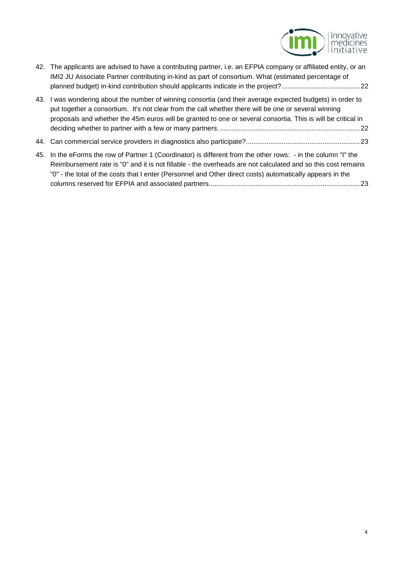

| 42. The applicants are advised to have a contributing partner, i.e. an EFPIA company or affiliated entity, or an<br>IMI2 JU Associate Partner contributing in-kind as part of consortium. What (estimated percentage of                                                                                                            |
|------------------------------------------------------------------------------------------------------------------------------------------------------------------------------------------------------------------------------------------------------------------------------------------------------------------------------------|
| 43. I was wondering about the number of winning consortia (and their average expected budgets) in order to<br>put together a consortium. It's not clear from the call whether there will be one or several winning<br>proposals and whether the 45m euros will be granted to one or several consortia. This is will be critical in |
|                                                                                                                                                                                                                                                                                                                                    |
| 45. In the eForms the row of Partner 1 (Coordinator) is different from the other rows: - in the column "I" the                                                                                                                                                                                                                     |

Reimbursement rate is "0" and it is not fillable - [the overheads are not calculated and so this cost remains](#page-22-1)  "0" - [the total of the costs that I enter \(Personnel and Other direct costs\) automatically appears in the](#page-22-1)  [columns reserved for EFPIA and associated partners.................................................................................23](#page-22-1)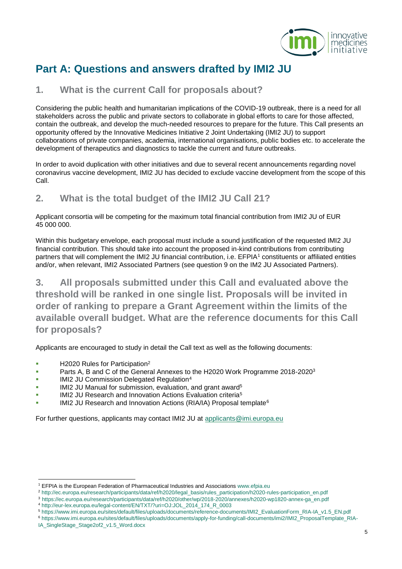

# <span id="page-4-0"></span>**Part A: Questions and answers drafted by IMI2 JU**

#### <span id="page-4-1"></span>**1. What is the current Call for proposals about?**

Considering the public health and humanitarian implications of the COVID-19 outbreak, there is a need for all stakeholders across the public and private sectors to collaborate in global efforts to care for those affected, contain the outbreak, and develop the much-needed resources to prepare for the future. This Call presents an opportunity offered by the Innovative Medicines Initiative 2 Joint Undertaking (IMI2 JU) to support collaborations of private companies, academia, international organisations, public bodies etc. to accelerate the development of therapeutics and diagnostics to tackle the current and future outbreaks.

In order to avoid duplication with other initiatives and due to several recent announcements regarding novel coronavirus vaccine development, IMI2 JU has decided to exclude vaccine development from the scope of this Call.

### <span id="page-4-2"></span>**2. What is the total budget of the IMI2 JU Call 21?**

Applicant consortia will be competing for the maximum total financial contribution from IMI2 JU of EUR 45 000 000.

Within this budgetary envelope, each proposal must include a sound justification of the requested IMI2 JU financial contribution. This should take into account the proposed in-kind contributions from contributing partners that will complement the IMI2 JU financial contribution, i.e. EFPIA<sup>1</sup> constituents or affiliated entities and/or, when relevant, IMI2 Associated Partners (see question 9 on the IM2 JU Associated Partners).

<span id="page-4-3"></span>**3. All proposals submitted under this Call and evaluated above the threshold will be ranked in one single list. Proposals will be invited in order of ranking to prepare a Grant Agreement within the limits of the available overall budget. What are the reference documents for this Call for proposals?** 

Applicants are encouraged to study in detail the Call text as well as the following documents:

**H2020 Rules for Participation**<sup>2</sup>

l

- **Parts A, B and C of the General Annexes to the H2020 Work Programme 2018-2020**<sup>3</sup>
- IMI2 JU Commission Delegated Regulation<sup>4</sup>
- IMI2 JU Manual for submission, evaluation, and grant award<sup>5</sup>
- IMI2 JU Research and Innovation Actions Evaluation criteria<sup>5</sup>
- IMI2 JU Research and Innovation Actions (RIA/IA) Proposal template<sup>6</sup>

For further questions, applicants may contact IMI2 JU at applicants@imi.europa.eu

<sup>1</sup> EFPIA is the European Federation of Pharmaceutical Industries and Association[s www.efpia.eu](http://www.efpia.eu/) 

<sup>2</sup> [http://ec.europa.eu/research/participants/data/ref/h2020/legal\\_basis/rules\\_participation/h2020-rules-participation\\_en.pdf](http://ec.europa.eu/research/participants/data/ref/h2020/legal_basis/rules_participation/h2020-rules-participation_en.pdf)

<sup>3</sup> [https://ec.europa.eu/research/participants/data/ref/h2020/other/wp/2018-2020/annexes/h2020-wp1820-annex-ga\\_en.pdf](https://ec.europa.eu/research/participants/data/ref/h2020/other/wp/2018-2020/annexes/h2020-wp1820-annex-ga_en.pdf)

<sup>4</sup> [http://eur-lex.europa.eu/legal-content/EN/TXT/?uri=OJ:JOL\\_2014\\_174\\_R\\_0003](http://eur-lex.europa.eu/legal-content/EN/TXT/?uri=OJ:JOL_2014_174_R_0003)

<sup>5</sup> [https://www.imi.europa.eu/sites/default/files/uploads/documents/reference-documents/IMI2\\_EvaluationForm\\_RIA-IA\\_v1.5\\_EN.pdf](https://www.imi.europa.eu/sites/default/files/uploads/documents/reference-documents/IMI2_EvaluationForm_RIA-IA_v1.5_EN.pdf)

<sup>6</sup> [https://www.imi.europa.eu/sites/default/files/uploads/documents/apply-for-funding/call-documents/imi2/IMI2\\_ProposalTemplate\\_RIA-](https://www.imi.europa.eu/sites/default/files/uploads/documents/apply-for-funding/call-documents/imi2/IMI2_ProposalTemplate_RIA-IA_SingleStage_Stage2of2_v1.5_Word.docx)[IA\\_SingleStage\\_Stage2of2\\_v1.5\\_Word.docx](https://www.imi.europa.eu/sites/default/files/uploads/documents/apply-for-funding/call-documents/imi2/IMI2_ProposalTemplate_RIA-IA_SingleStage_Stage2of2_v1.5_Word.docx)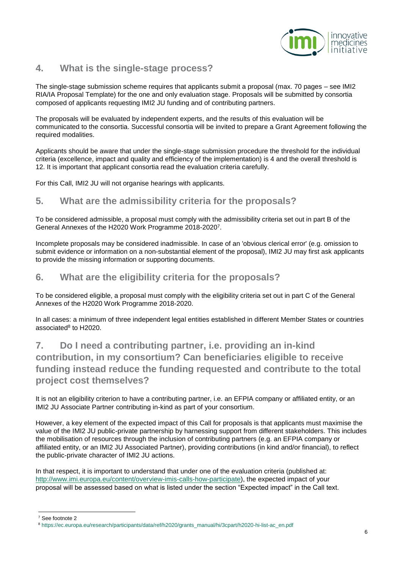

#### <span id="page-5-0"></span>**4. What is the single-stage process?**

The single-stage submission scheme requires that applicants submit a proposal (max. 70 pages – see IMI2 RIA/IA Proposal Template) for the one and only evaluation stage. Proposals will be submitted by consortia composed of applicants requesting IMI2 JU funding and of contributing partners.

The proposals will be evaluated by independent experts, and the results of this evaluation will be communicated to the consortia. Successful consortia will be invited to prepare a Grant Agreement following the required modalities.

Applicants should be aware that under the single-stage submission procedure the threshold for the individual criteria (excellence, impact and quality and efficiency of the implementation) is 4 and the overall threshold is 12. It is important that applicant consortia read the evaluation criteria carefully.

For this Call, IMI2 JU will not organise hearings with applicants.

#### <span id="page-5-1"></span>**5. What are the admissibility criteria for the proposals?**

To be considered admissible, a proposal must comply with the admissibility criteria set out in part B of the General Annexes of the H2020 Work Programme 2018-2020<sup>7</sup> .

Incomplete proposals may be considered inadmissible. In case of an 'obvious clerical error' (e.g. omission to submit evidence or information on a non-substantial element of the proposal), IMI2 JU may first ask applicants to provide the missing information or supporting documents.

#### <span id="page-5-2"></span>**6. What are the eligibility criteria for the proposals?**

To be considered eligible, a proposal must comply with the eligibility criteria set out in part C of the General Annexes of the H2020 Work Programme 2018-2020.

In all cases: a minimum of three independent legal entities established in different Member States or countries associated<sup>8</sup> to H2020.

# <span id="page-5-3"></span>**7. Do I need a contributing partner, i.e. providing an in-kind contribution, in my consortium? Can beneficiaries eligible to receive funding instead reduce the funding requested and contribute to the total project cost themselves?**

It is not an eligibility criterion to have a contributing partner, i.e. an EFPIA company or affiliated entity, or an IMI2 JU Associate Partner contributing in-kind as part of your consortium.

However, a key element of the expected impact of this Call for proposals is that applicants must maximise the value of the IMI2 JU public-private partnership by harnessing support from different stakeholders. This includes the mobilisation of resources through the inclusion of contributing partners (e.g. an EFPIA company or affiliated entity, or an IMI2 JU Associated Partner), providing contributions (in kind and/or financial), to reflect the public-private character of IMI2 JU actions.

In that respect, it is important to understand that under one of the evaluation criteria (published at[:](http://www.imi.europa.eu/content/overview-imis-calls-how-participate) [http://www.imi.europa.eu/content/overview-imis-calls-how-participate\),](http://www.imi.europa.eu/content/overview-imis-calls-how-participate) the expected impact of your proposal will be assessed based on what is listed under the section "Expected impact" in the Call text.

l

<sup>7</sup> See footnote 2

<sup>8</sup> [https://ec.europa.eu/research/participants/data/ref/h2020/grants\\_manual/hi/3cpart/h2020-hi-list-ac\\_en.pdf](https://ec.europa.eu/research/participants/data/ref/h2020/grants_manual/hi/3cpart/h2020-hi-list-ac_en.pdf)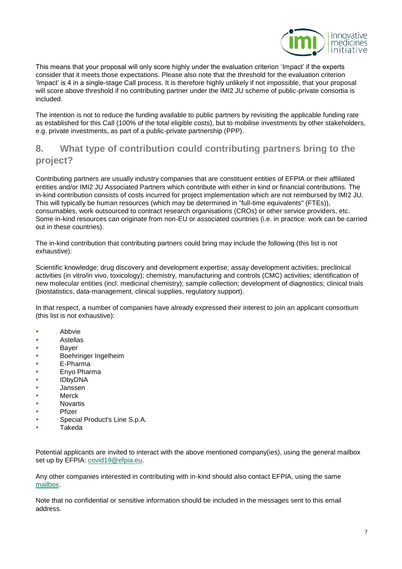

This means that your proposal will only score highly under the evaluation criterion 'Impact' if the experts consider that it meets those expectations. Please also note that the threshold for the evaluation criterion 'Impact' is 4 in a single-stage Call process. It is therefore highly unlikely if not impossible, that your proposal will score above threshold if no contributing partner under the IMI2 JU scheme of public-private consortia is included.

The intention is not to reduce the funding available to public partners by revisiting the applicable funding rate as established for this Call (100% of the total eligible costs), but to mobilise investments by other stakeholders, e.g. private investments, as part of a public-private partnership (PPP).

### <span id="page-6-0"></span>**8. What type of contribution could contributing partners bring to the project?**

Contributing partners are usually industry companies that are constituent entities of EFPIA or their affiliated entities and/or IMI2 JU Associated Partners which contribute with either in kind or financial contributions. The in-kind contribution consists of costs incurred for project implementation which are not reimbursed by IMI2 JU. This will typically be human resources (which may be determined in "full-time equivalents" (FTEs)), consumables, work outsourced to contract research organisations (CROs) or other service providers, etc. Some in-kind resources can originate from non-EU or associated countries (i.e. in practice: work can be carried out in these countries).

The in-kind contribution that contributing partners could bring may include the following (this list is not exhaustive):

Scientific knowledge; drug discovery and development expertise; assay development activities; preclinical activities (in vitro/in vivo, toxicology); chemistry, manufacturing and controls (CMC) activities; identification of new molecular entities (incl. medicinal chemistry); sample collection; development of diagnostics; clinical trials (biostatistics, data-management, clinical supplies, regulatory support).

In that respect, a number of companies have already expressed their interest to join an applicant consortium (this list is not exhaustive):

- **Abbvie**
- **Astellas**
- **Bayer**
- **Boehringer Ingelheim**
- E-Pharma
- **Enyo Pharma**
- IDbyDNA
- Janssen
- Merck
- Novartis
- Pfizer
- Special Product's Line S.p.A.
- Takeda

Potential applicants are invited to interact with the above mentioned company(ies), using the general mailbox set up by EFPIA: covid19@efpia.eu.

Any other companies interested in contributing with in-kind should also contact EFPIA, using the same mailbox.

Note that no confidential or sensitive information should be included in the messages sent to this email address.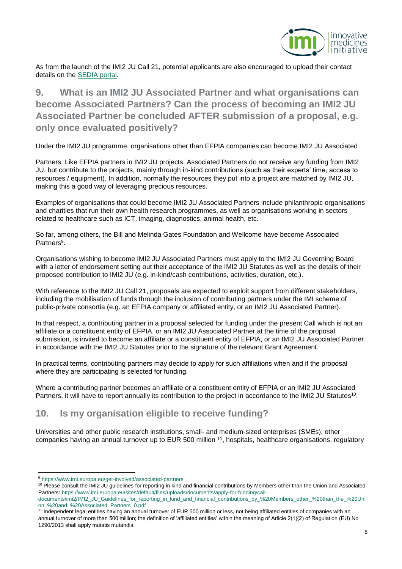

As from the launch of the IMI2 JU Call 21, potential applicants are also encouraged to upload their contact details on the SEDIA portal.

<span id="page-7-0"></span>**9. What is an IMI2 JU Associated Partner and what organisations can become Associated Partners? Can the process of becoming an IMI2 JU Associated Partner be concluded AFTER submission of a proposal, e.g. only once evaluated positively?** 

Under the IMI2 JU programme, organisations other than EFPIA companies can become IMI2 JU Associated

Partners. Like EFPIA partners in IMI2 JU projects, Associated Partners do not receive any funding from IMI2 JU, but contribute to the projects, mainly through in-kind contributions (such as their experts' time, access to resources / equipment). In addition, normally the resources they put into a project are matched by IMI2 JU, making this a good way of leveraging precious resources.

Examples of organisations that could become IMI2 JU Associated Partners include philanthropic organisations and charities that run their own health research programmes, as well as organisations working in sectors related to healthcare such as ICT, imaging, diagnostics, animal health, etc.

So far, among others, the Bill and Melinda Gates Foundation and Wellcome have become Associated Partners<sup>9</sup>.

Organisations wishing to become IMI2 JU Associated Partners must apply to the IMI2 JU Governing Board with a letter of endorsement setting out their acceptance of the IMI2 JU Statutes as well as the details of their proposed contribution to IMI2 JU (e.g. in-kind/cash contributions, activities, duration, etc.).

With reference to the IMI2 JU Call 21, proposals are expected to exploit support from different stakeholders, including the mobilisation of funds through the inclusion of contributing partners under the IMI scheme of public-private consortia (e.g. an EFPIA company or affiliated entity, or an IMI2 JU Associated Partner).

In that respect, a contributing partner in a proposal selected for funding under the present Call which is not an affiliate or a constituent entity of EFPIA, or an IMI2 JU Associated Partner at the time of the proposal submission, is invited to become an affiliate or a constituent entity of EFPIA, or an IMI2 JU Associated Partner in accordance with the IMI2 JU Statutes prior to the signature of the relevant Grant Agreement.

In practical terms, contributing partners may decide to apply for such affiliations when and if the proposal where they are participating is selected for funding.

Where a contributing partner becomes an affiliate or a constituent entity of EFPIA or an IMI2 JU Associated Partners, it will have to report annually its contribution to the project in accordance to the IMI2 JU Statutes<sup>10</sup>.

#### <span id="page-7-1"></span>**10. Is my organisation eligible to receive funding?**

Universities and other public research institutions, small- and medium-sized enterprises (SMEs), other companies having an annual turnover up to EUR 500 million <sup>11</sup>, hospitals, healthcare organisations, regulatory

l

<sup>9</sup> <https://www.imi.europa.eu/get-involved/associated-partners>

<sup>&</sup>lt;sup>10</sup> Please consult the IMI2 JU quidelines for reporting in kind and financial contributions by Members other than the Union and Associated [Partners: https://www.imi.europa.eu/sites/default/files/uploads/documents/apply-for-funding/call-](https://www.imi.europa.eu/sites/default/files/uploads/documents/apply-for-funding/call-documents/imi2/IMI2_JU_Guidelines_for_reporting_in_kind_and_financial_contributions_by_%20Members_other_%20than_the_%20Union_%20and_%20Associated_Partners_0.pdf)

[documents/imi2/IMI2\\_JU\\_Guidelines\\_for\\_reporting\\_in\\_kind\\_and\\_financial\\_contributions\\_by\\_%20Members\\_other\\_%20than\\_the\\_%20Uni](https://www.imi.europa.eu/sites/default/files/uploads/documents/apply-for-funding/call-documents/imi2/IMI2_JU_Guidelines_for_reporting_in_kind_and_financial_contributions_by_%20Members_other_%20than_the_%20Union_%20and_%20Associated_Partners_0.pdf)  [on\\_%20and\\_%20Associated\\_Partners\\_0.pdf](https://www.imi.europa.eu/sites/default/files/uploads/documents/apply-for-funding/call-documents/imi2/IMI2_JU_Guidelines_for_reporting_in_kind_and_financial_contributions_by_%20Members_other_%20than_the_%20Union_%20and_%20Associated_Partners_0.pdf)

<sup>&</sup>lt;sup>11</sup> Independent legal entities having an annual turnover of EUR 500 million or less, not being affiliated entities of companies with an annual turnover of more than 500 million; the definition of 'affiliated entities' within the meaning of Article 2(1)(2) of Regulation (EU) No 1290/2013 shall apply mutatis mutandis.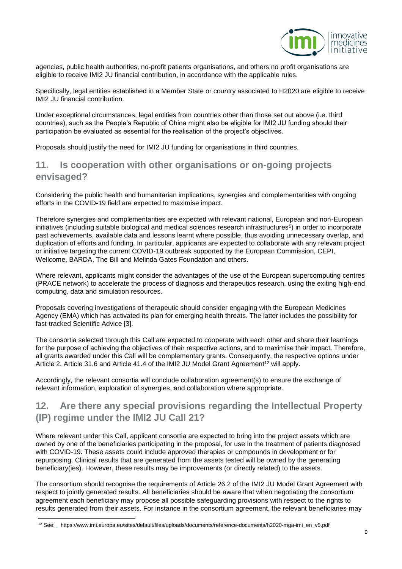

agencies, public health authorities, no-profit patients organisations, and others no profit organisations are eligible to receive IMI2 JU financial contribution, in accordance with the applicable rules.

Specifically, legal entities established in a Member State or country associated to H2020 are eligible to receive IMI2 JU financial contribution.

Under exceptional circumstances, legal entities from countries other than those set out above (i.e. third countries), such as the People's Republic of China might also be eligible for IMI2 JU funding should their participation be evaluated as essential for the realisation of the project's objectives.

Proposals should justify the need for IMI2 JU funding for organisations in third countries.

#### <span id="page-8-0"></span>**11. Is cooperation with other organisations or on-going projects envisaged?**

Considering the public health and humanitarian implications, synergies and complementarities with ongoing efforts in the COVID-19 field are expected to maximise impact.

Therefore synergies and complementarities are expected with relevant national, European and non-European initiatives (including suitable biological and medical sciences research infrastructures<sup>5</sup>) in order to incorporate past achievements, available data and lessons learnt where possible, thus avoiding unnecessary overlap, and duplication of efforts and funding. In particular, applicants are expected to collaborate with any relevant project or initiative targeting the current COVID-19 outbreak supported by the European Commission, CEPI, Wellcome, BARDA, The Bill and Melinda Gates Foundation and others.

Where relevant, applicants might consider the advantages of the use of the European supercomputing centres (PRACE network) to accelerate the process of diagnosis and therapeutics research, using the exiting high-end computing, data and simulation resources.

Proposals covering investigations of therapeutic should consider engaging with the European Medicines Agency (EMA) which has activated its plan for emerging health threats. The latter includes the possibility for fast-tracked Scientific Advice [3].

The consortia selected through this Call are expected to cooperate with each other and share their learnings for the purpose of achieving the objectives of their respective actions, and to maximise their impact. Therefore, all grants awarded under this Call will be complementary grants. Consequently, the respective options under Article 2, Article 31.6 and Article 41.4 of the IMI2 JU Model Grant Agreement<sup>12</sup> will apply.

Accordingly, the relevant consortia will conclude collaboration agreement(s) to ensure the exchange of relevant information, exploration of synergies, and collaboration where appropriate.

## <span id="page-8-1"></span>**12. Are there any special provisions regarding the Intellectual Property (IP) regime under the IMI2 JU Call 21?**

Where relevant under this Call, applicant consortia are expected to bring into the project assets which are owned by one of the beneficiaries participating in the proposal, for use in the treatment of patients diagnosed with COVID-19. These assets could include approved therapies or compounds in development or for repurposing. Clinical results that are generated from the assets tested will be owned by the generating beneficiary(ies). However, these results may be improvements (or directly related) to the assets.

The consortium should recognise the requirements of Article 26.2 of the IMI2 JU Model Grant Agreement with respect to jointly generated results. All beneficiaries should be aware that when negotiating the consortium agreement each beneficiary may propose all possible safeguarding provisions with respect to the rights to results generated from their assets. For instance in the consortium agreement, the relevant beneficiaries may

l

<sup>12</sup> Se[e: h](https://www.imi.europa.eu/sites/default/files/uploads/documents/reference-documents/h2020-mgaimi_en_v5.pdf)ttps://www.imi.europa.eu/sites/default/files/uploads/documents/reference-documents/h2020-mga-imi\_en\_v5.pdf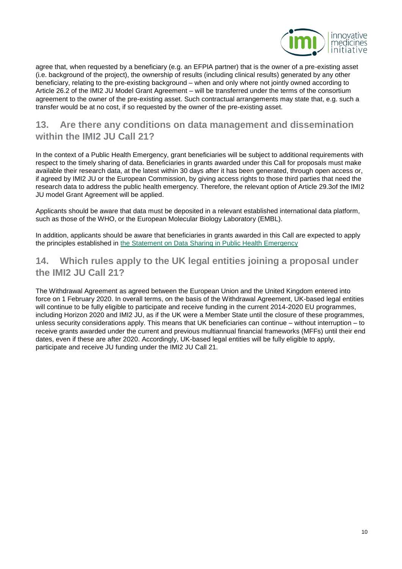

agree that, when requested by a beneficiary (e.g. an EFPIA partner) that is the owner of a pre-existing asset (i.e. background of the project), the ownership of results (including clinical results) generated by any other beneficiary, relating to the pre-existing background – when and only where not jointly owned according to Article 26.2 of the IMI2 JU Model Grant Agreement – will be transferred under the terms of the consortium agreement to the owner of the pre-existing asset. Such contractual arrangements may state that, e.g. such a transfer would be at no cost, if so requested by the owner of the pre-existing asset.

### <span id="page-9-0"></span>**13. Are there any conditions on data management and dissemination within the IMI2 JU Call 21?**

In the context of a Public Health Emergency, grant beneficiaries will be subject to additional requirements with respect to the timely sharing of data. Beneficiaries in grants awarded under this Call for proposals must make available their research data, at the latest within 30 days after it has been generated, through open access or, if agreed by IMI2 JU or the European Commission, by giving access rights to those third parties that need the research data to address the public health emergency. Therefore, the relevant option of Article 29.3of the IMI2 JU model Grant Agreement will be applied.

Applicants should be aware that data must be deposited in a relevant established international data platform, such as those of the WHO, or the European Molecular Biology Laboratory (EMBL).

In addition, applicants should be aware that beneficiaries in grants awarded in this Call are expected to apply the principles established in [the Statement on Data Sharing in Public Health Emergency](https://wellcome.ac.uk/press-release/sharing-research-data-and-findings-relevant-novel-coronavirus-covid-19-outbreak)

## <span id="page-9-1"></span>**14. Which rules apply to the UK legal entities joining a proposal under the IMI2 JU Call 21?**

The Withdrawal Agreement as agreed between the European Union and the United Kingdom entered into force on 1 February 2020. In overall terms, on the basis of the Withdrawal Agreement, UK-based legal entities will continue to be fully eligible to participate and receive funding in the current 2014-2020 EU programmes, including Horizon 2020 and IMI2 JU, as if the UK were a Member State until the closure of these programmes, unless security considerations apply. This means that UK beneficiaries can continue – without interruption – to receive grants awarded under the current and previous multiannual financial frameworks (MFFs) until their end dates, even if these are after 2020. Accordingly, UK-based legal entities will be fully eligible to apply, participate and receive JU funding under the IMI2 JU Call 21.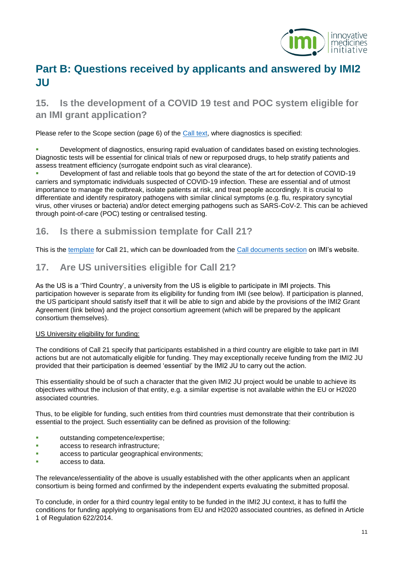

# <span id="page-10-0"></span>**Part B: Questions received by applicants and answered by IMI2 JU**

# <span id="page-10-1"></span>**15. Is the development of a COVID 19 test and POC system eligible for an IMI grant application?**

Please refer to the Scope section (page 6) of the [Call text,](https://www.imi.europa.eu/sites/default/files/IMI2%20Call%2021%20Coronavirus%20-%20Call%20text_final.pdf) where diagnostics is specified:

 Development of diagnostics, ensuring rapid evaluation of candidates based on existing technologies. Diagnostic tests will be essential for clinical trials of new or repurposed drugs, to help stratify patients and assess treatment efficiency (surrogate endpoint such as viral clearance).

 Development of fast and reliable tools that go beyond the state of the art for detection of COVID-19 carriers and symptomatic individuals suspected of COVID-19 infection. These are essential and of utmost importance to manage the outbreak, isolate patients at risk, and treat people accordingly. It is crucial to differentiate and identify respiratory pathogens with similar clinical symptoms (e.g. flu, respiratory syncytial virus, other viruses or bacteria) and/or detect emerging pathogens such as SARS-CoV-2. This can be achieved through point-of-care (POC) testing or centralised testing.

#### <span id="page-10-2"></span>**16. Is there a submission template for Call 21?**

This is the [template](https://www.imi.europa.eu/sites/default/files/uploads/documents/apply-for-funding/call-documents/imi2/IMI2_ProposalTemplate_RIA-IA_SingleStage_Stage2of2_v1.5.pdf) for Call 21, which can be downloaded from the [Call documents section](https://www.imi.europa.eu/apply-funding/call-documents/imi2-call-documents) on IMI's website.

#### <span id="page-10-3"></span>**17. Are US universities eligible for Call 21?**

As the US is a 'Third Country', a university from the US is eligible to participate in IMI projects. This participation however is separate from its eligibility for funding from IMI (see below). If participation is planned, the US participant should satisfy itself that it will be able to sign and abide by the provisions of the IMI2 Grant Agreement (link below) and the project consortium agreement (which will be prepared by the applicant consortium themselves).

#### US University eligibility for funding:

The conditions of Call 21 specify that participants established in a third country are eligible to take part in IMI actions but are not automatically eligible for funding. They may exceptionally receive funding from the IMI2 JU provided that their participation is deemed 'essential' by the IMI2 JU to carry out the action.

This essentiality should be of such a character that the given IMI2 JU project would be unable to achieve its objectives without the inclusion of that entity, e.g. a similar expertise is not available within the EU or H2020 associated countries.

Thus, to be eligible for funding, such entities from third countries must demonstrate that their contribution is essential to the project. Such essentiality can be defined as provision of the following:

- **•** outstanding competence/expertise;
- **access to research infrastructure;**
- **access to particular geographical environments;**
- access to data.

The relevance/essentiality of the above is usually established with the other applicants when an applicant consortium is being formed and confirmed by the independent experts evaluating the submitted proposal.

To conclude, in order for a third country legal entity to be funded in the IMI2 JU context, it has to fulfil the conditions for funding applying to organisations from EU and H2020 associated countries, as defined in Article 1 of Regulation 622/2014.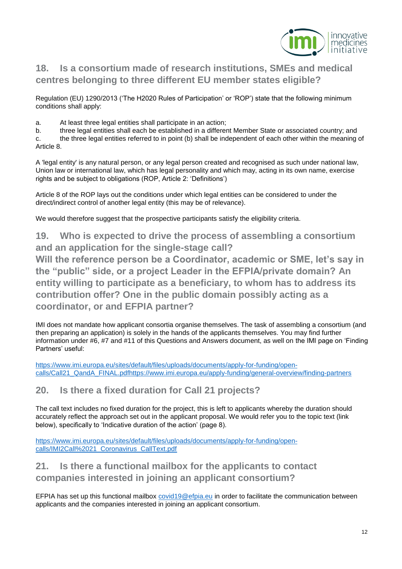

# <span id="page-11-0"></span>**18. Is a consortium made of research institutions, SMEs and medical centres belonging to three different EU member states eligible?**

Regulation (EU) 1290/2013 ('The H2020 Rules of Participation' or 'ROP') state that the following minimum conditions shall apply:

a. At least three legal entities shall participate in an action;

b. three legal entities shall each be established in a different Member State or associated country; and

c. the three legal entities referred to in point (b) shall be independent of each other within the meaning of Article 8.

A 'legal entity' is any natural person, or any legal person created and recognised as such under national law, Union law or international law, which has legal personality and which may, acting in its own name, exercise rights and be subject to obligations (ROP, Article 2: 'Definitions')

Article 8 of the ROP lays out the conditions under which legal entities can be considered to under the direct/indirect control of another legal entity (this may be of relevance).

We would therefore suggest that the prospective participants satisfy the eligibility criteria.

<span id="page-11-1"></span>**19. Who is expected to drive the process of assembling a consortium and an application for the single-stage call?**

**Will the reference person be a Coordinator, academic or SME, let's say in the "public" side, or a project Leader in the EFPIA/private domain? An entity willing to participate as a beneficiary, to whom has to address its contribution offer? One in the public domain possibly acting as a coordinator, or and EFPIA partner?**

IMI does not mandate how applicant consortia organise themselves. The task of assembling a consortium (and then preparing an application) is solely in the hands of the applicants themselves. You may find further information under #6, #7 and #11 of this Questions and Answers document, as well on the IMI page on 'Finding Partners' useful:

[https://www.imi.europa.eu/sites/default/files/uploads/documents/apply-for-funding/open](https://www.imi.europa.eu/sites/default/files/uploads/documents/apply-for-funding/open-calls/Call21_QandA_FINAL.pdfhttps:/www.imi.europa.eu/apply-funding/general-overview/finding-partners)[calls/Call21\\_QandA\\_FINAL.pdfhttps://www.imi.europa.eu/apply-funding/general-overview/finding-partners](https://www.imi.europa.eu/sites/default/files/uploads/documents/apply-for-funding/open-calls/Call21_QandA_FINAL.pdfhttps:/www.imi.europa.eu/apply-funding/general-overview/finding-partners)

#### <span id="page-11-2"></span>**20. Is there a fixed duration for Call 21 projects?**

The call text includes no fixed duration for the project, this is left to applicants whereby the duration should accurately reflect the approach set out in the applicant proposal. We would refer you to the topic text (link below), specifically to 'Indicative duration of the action' (page 8).

[https://www.imi.europa.eu/sites/default/files/uploads/documents/apply-for-funding/open](https://www.imi.europa.eu/sites/default/files/uploads/documents/apply-for-funding/open-calls/IMI2Call%2021_Coronavirus_CallText.pdf)[calls/IMI2Call%2021\\_Coronavirus\\_CallText.pdf](https://www.imi.europa.eu/sites/default/files/uploads/documents/apply-for-funding/open-calls/IMI2Call%2021_Coronavirus_CallText.pdf)

#### <span id="page-11-3"></span>**21. Is there a functional mailbox for the applicants to contact companies interested in joining an applicant consortium?**

EFPIA has set up this functional mailbox [covid19@efpia.eu](mailto:covid19@efpia.eu) in order to facilitate the communication between applicants and the companies interested in joining an applicant consortium.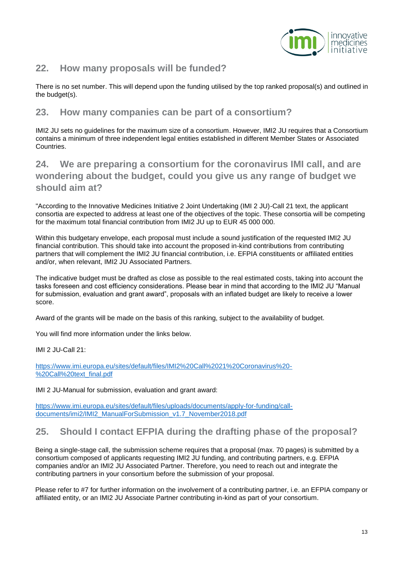

#### <span id="page-12-0"></span>**22. How many proposals will be funded?**

There is no set number. This will depend upon the funding utilised by the top ranked proposal(s) and outlined in the budget(s).

#### <span id="page-12-1"></span>**23. How many companies can be part of a consortium?**

IMI2 JU sets no guidelines for the maximum size of a consortium. However, IMI2 JU requires that a Consortium contains a minimum of three independent legal entities established in different Member States or Associated Countries.

<span id="page-12-2"></span>**24. We are preparing a consortium for the coronavirus IMI call, and are wondering about the budget, could you give us any range of budget we should aim at?**

"According to the Innovative Medicines Initiative 2 Joint Undertaking (IMI 2 JU)-Call 21 text, the applicant consortia are expected to address at least one of the objectives of the topic. These consortia will be competing for the maximum total financial contribution from IMI2 JU up to EUR 45 000 000.

Within this budgetary envelope, each proposal must include a sound justification of the requested IMI2 JU financial contribution. This should take into account the proposed in-kind contributions from contributing partners that will complement the IMI2 JU financial contribution, i.e. EFPIA constituents or affiliated entities and/or, when relevant, IMI2 JU Associated Partners.

The indicative budget must be drafted as close as possible to the real estimated costs, taking into account the tasks foreseen and cost efficiency considerations. Please bear in mind that according to the IMI2 JU "Manual for submission, evaluation and grant award", proposals with an inflated budget are likely to receive a lower score.

Award of the grants will be made on the basis of this ranking, subject to the availability of budget.

You will find more information under the links below.

IMI 2 JU-Call 21:

[https://www.imi.europa.eu/sites/default/files/IMI2%20Call%2021%20Coronavirus%20-](https://www.imi.europa.eu/sites/default/files/IMI2%20Call%2021%20Coronavirus%20-%20Call%20text_final.pdf) [%20Call%20text\\_final.pdf](https://www.imi.europa.eu/sites/default/files/IMI2%20Call%2021%20Coronavirus%20-%20Call%20text_final.pdf)

IMI 2 JU-Manual for submission, evaluation and grant award:

[https://www.imi.europa.eu/sites/default/files/uploads/documents/apply-for-funding/call](https://www.imi.europa.eu/sites/default/files/uploads/documents/apply-for-funding/call-documents/imi2/IMI2_ManualForSubmission_v1.7_November2018.pdf)[documents/imi2/IMI2\\_ManualForSubmission\\_v1.7\\_November2018.pdf](https://www.imi.europa.eu/sites/default/files/uploads/documents/apply-for-funding/call-documents/imi2/IMI2_ManualForSubmission_v1.7_November2018.pdf)

#### <span id="page-12-3"></span>**25. Should I contact EFPIA during the drafting phase of the proposal?**

Being a single-stage call, the submission scheme requires that a proposal (max. 70 pages) is submitted by a consortium composed of applicants requesting IMI2 JU funding, and contributing partners, e.g. EFPIA companies and/or an IMI2 JU Associated Partner. Therefore, you need to reach out and integrate the contributing partners in your consortium before the submission of your proposal.

Please refer to #7 for further information on the involvement of a contributing partner, i.e. an EFPIA company or affiliated entity, or an IMI2 JU Associate Partner contributing in-kind as part of your consortium.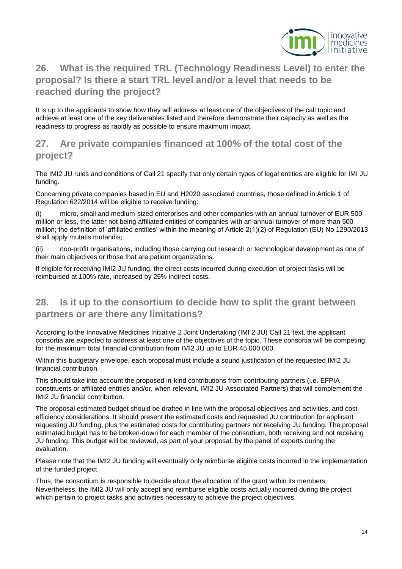

# <span id="page-13-0"></span>**26. What is the required TRL (Technology Readiness Level) to enter the proposal? Is there a start TRL level and/or a level that needs to be reached during the project?**

It is up to the applicants to show how they will address at least one of the objectives of the call topic and achieve at least one of the key deliverables listed and therefore demonstrate their capacity as well as the readiness to progress as rapidly as possible to ensure maximum impact.

#### <span id="page-13-1"></span>**27. Are private companies financed at 100% of the total cost of the project?**

The IMI2 JU rules and conditions of Call 21 specify that only certain types of legal entities are eligible for IMI JU funding.

Concerning private companies based in EU and H2020 associated countries, those defined in Article 1 of Regulation 622/2014 will be eligible to receive funding:

(i) micro, small and medium-sized enterprises and other companies with an annual turnover of EUR 500 million or less, the latter not being affiliated entities of companies with an annual turnover of more than 500 million; the definition of 'affiliated entities' within the meaning of Article 2(1)(2) of Regulation (EU) No 1290/2013 shall apply mutatis mutandis;

(ii) non-profit organisations, including those carrying out research or technological development as one of their main objectives or those that are patient organizations.

If eligible for receiving IMI2 JU funding, the direct costs incurred during execution of project tasks will be reimbursed at 100% rate, increased by 25% indirect costs.

### <span id="page-13-2"></span>**28. Is it up to the consortium to decide how to split the grant between partners or are there any limitations?**

According to the Innovative Medicines Initiative 2 Joint Undertaking (IMI 2 JU) Call 21 text, the applicant consortia are expected to address at least one of the objectives of the topic. These consortia will be competing for the maximum total financial contribution from IMI2 JU up to EUR 45 000 000.

Within this budgetary envelope, each proposal must include a sound justification of the requested IMI2 JU financial contribution.

This should take into account the proposed in-kind contributions from contributing partners (i.e. EFPIA constituents or affiliated entities and/or, when relevant, IMI2 JU Associated Partners) that will complement the IMI2 JU financial contribution.

The proposal estimated budget should be drafted in line with the proposal objectives and activities, and cost efficiency considerations. It should present the estimated costs and requested JU contribution for applicant requesting JU funding, plus the estimated costs for contributing partners not receiving JU funding. The proposal estimated budget has to be broken-down for each member of the consortium, both receiving and not receiving JU funding. This budget will be reviewed, as part of your proposal, by the panel of experts during the evaluation.

Please note that the IMI2 JU funding will eventually only reimburse eligible costs incurred in the implementation of the funded project.

Thus, the consortium is responsible to decide about the allocation of the grant within its members. Nevertheless, the IMI2 JU will only accept and reimburse eligible costs actually incurred during the project which pertain to project tasks and activities necessary to achieve the project objectives.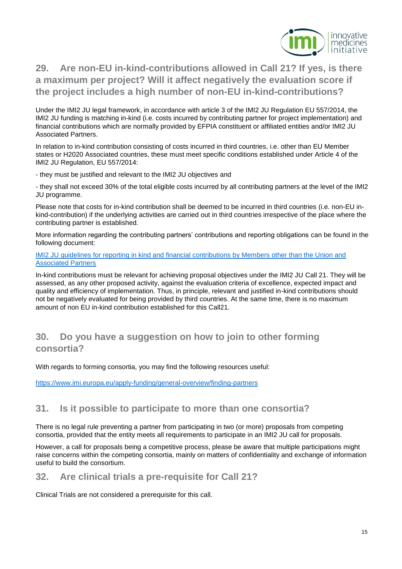

# <span id="page-14-0"></span>**29. Are non-EU in-kind-contributions allowed in Call 21? If yes, is there a maximum per project? Will it affect negatively the evaluation score if the project includes a high number of non-EU in-kind-contributions?**

Under the IMI2 JU legal framework, in accordance with article 3 of the IMI2 JU Regulation EU 557/2014, the IMI2 JU funding is matching in-kind (i.e. costs incurred by contributing partner for project implementation) and financial contributions which are normally provided by EFPIA constituent or affiliated entities and/or IMI2 JU Associated Partners.

In relation to in-kind contribution consisting of costs incurred in third countries, i.e. other than EU Member states or H2020 Associated countries, these must meet specific conditions established under Article 4 of the IMI2 JU Regulation, EU 557/2014:

- they must be justified and relevant to the IMI2 JU objectives and

- they shall not exceed 30% of the total eligible costs incurred by all contributing partners at the level of the IMI2 JU programme.

Please note that costs for in-kind contribution shall be deemed to be incurred in third countries (i.e. non-EU inkind-contribution) if the underlying activities are carried out in third countries irrespective of the place where the contributing partner is established.

More information regarding the contributing partners' contributions and reporting obligations can be found in the following document:

#### [IMI2 JU guidelines for reporting in kind and financial contributions by Members other than the Union and](https://www.imi.europa.eu/sites/default/files/uploads/documents/apply-for-funding/call-documents/imi2/IMI2_JU_Guidelines_for_reporting_in_kind_and_financial_contributions_by_%20Members_other_%20than_the_%20Union_%20and_%20Associated_Partners_0.pdf)  [Associated Partners](https://www.imi.europa.eu/sites/default/files/uploads/documents/apply-for-funding/call-documents/imi2/IMI2_JU_Guidelines_for_reporting_in_kind_and_financial_contributions_by_%20Members_other_%20than_the_%20Union_%20and_%20Associated_Partners_0.pdf)

In-kind contributions must be relevant for achieving proposal objectives under the IMI2 JU Call 21. They will be assessed, as any other proposed activity, against the evaluation criteria of excellence, expected impact and quality and efficiency of implementation. Thus, in principle, relevant and justified in-kind contributions should not be negatively evaluated for being provided by third countries. At the same time, there is no maximum amount of non EU in-kind contribution established for this Call21.

#### <span id="page-14-1"></span>**30. Do you have a suggestion on how to join to other forming consortia?**

With regards to forming consortia, you may find the following resources useful:

<https://www.imi.europa.eu/apply-funding/general-overview/finding-partners>

#### <span id="page-14-2"></span>**31. Is it possible to participate to more than one consortia?**

There is no legal rule preventing a partner from participating in two (or more) proposals from competing consortia, provided that the entity meets all requirements to participate in an IMI2 JU call for proposals.

However, a call for proposals being a competitive process, please be aware that multiple participations might raise concerns within the competing consortia, mainly on matters of confidentiality and exchange of information useful to build the consortium.

#### <span id="page-14-3"></span>**32. Are clinical trials a pre-requisite for Call 21?**

Clinical Trials are not considered a prerequisite for this call.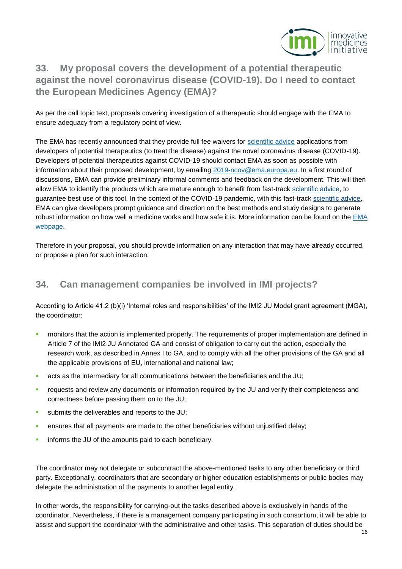

# <span id="page-15-0"></span>**33. My proposal covers the development of a potential therapeutic against the novel coronavirus disease (COVID-19). Do I need to contact the European Medicines Agency (EMA)?**

As per the call topic text, proposals covering investigation of a therapeutic should engage with the EMA to ensure adequacy from a regulatory point of view.

The EMA has recently announced that they provide full fee waivers for [scientific advice](https://www.ema.europa.eu/en/human-regulatory/research-development/scientific-advice-protocol-assistance) applications from developers of potential therapeutics (to treat the disease) against the novel coronavirus disease (COVID-19). Developers of potential therapeutics against COVID-19 should contact EMA as soon as possible with information about their proposed development, by emailing [2019-ncov@ema.europa.eu.](mailto:2019-ncov@ema.europa.eu) In a first round of discussions, EMA can provide preliminary informal comments and feedback on the development. This will then allow EMA to identify the products which are mature enough to benefit from fast-track [scientific advice,](https://www.ema.europa.eu/en/glossary/scientific-advice) to guarantee best use of this tool. In the context of the COVID-19 pandemic, with this fast-track [scientific advice,](https://www.ema.europa.eu/en/glossary/scientific-advice) EMA can give developers prompt guidance and direction on the best methods and study designs to generate robust information on how well a medicine works and how safe it is. More information can be found on the [EMA](https://www.ema.europa.eu/en/news/covid-19-developers-medicines-vaccines-benefit-free-scientific-advice)  [webpage.](https://www.ema.europa.eu/en/news/covid-19-developers-medicines-vaccines-benefit-free-scientific-advice)

Therefore in your proposal, you should provide information on any interaction that may have already occurred, or propose a plan for such interaction.

## <span id="page-15-1"></span>**34. Can management companies be involved in IMI projects?**

According to Article 41.2 (b)(i) 'Internal roles and responsibilities' of the IMI2 JU Model grant agreement (MGA), the coordinator:

- monitors that the action is implemented properly. The requirements of proper implementation are defined in Article 7 of the IMI2 JU Annotated GA and consist of obligation to carry out the action, especially the research work, as described in Annex I to GA, and to comply with all the other provisions of the GA and all the applicable provisions of EU, international and national law;
- acts as the intermediary for all communications between the beneficiaries and the JU;
- requests and review any documents or information required by the JU and verify their completeness and correctness before passing them on to the JU;
- submits the deliverables and reports to the JU;
- ensures that all payments are made to the other beneficiaries without unjustified delay;
- **informs the JU of the amounts paid to each beneficiary.**

The coordinator may not delegate or subcontract the above-mentioned tasks to any other beneficiary or third party. Exceptionally, coordinators that are secondary or higher education establishments or public bodies may delegate the administration of the payments to another legal entity.

In other words, the responsibility for carrying-out the tasks described above is exclusively in hands of the coordinator. Nevertheless, if there is a management company participating in such consortium, it will be able to assist and support the coordinator with the administrative and other tasks. This separation of duties should be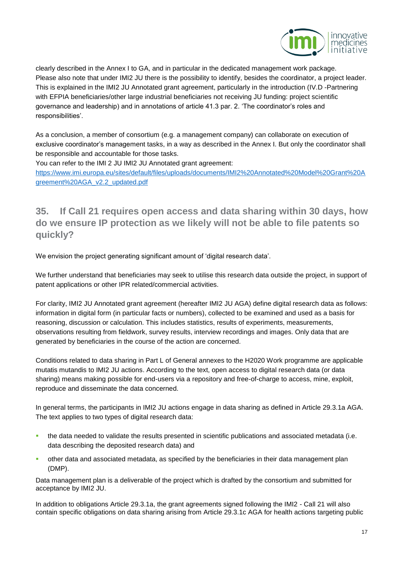

clearly described in the Annex I to GA, and in particular in the dedicated management work package. Please also note that under IMI2 JU there is the possibility to identify, besides the coordinator, a project leader. This is explained in the IMI2 JU Annotated grant agreement, particularly in the introduction (IV.D -Partnering with EFPIA beneficiaries/other large industrial beneficiaries not receiving JU funding: project scientific governance and leadership) and in annotations of article 41.3 par. 2. 'The coordinator's roles and responsibilities'.

As a conclusion, a member of consortium (e.g. a management company) can collaborate on execution of exclusive coordinator's management tasks, in a way as described in the Annex I. But only the coordinator shall be responsible and accountable for those tasks.

You can refer to the IMI 2 JU IMI2 JU Annotated grant agreement:

[https://www.imi.europa.eu/sites/default/files/uploads/documents/IMI2%20Annotated%20Model%20Grant%20A](https://www.imi.europa.eu/sites/default/files/uploads/documents/IMI2%20Annotated%20Model%20Grant%20Agreement%20AGA_v2.2_updated.pdf) [greement%20AGA\\_v2.2\\_updated.pdf](https://www.imi.europa.eu/sites/default/files/uploads/documents/IMI2%20Annotated%20Model%20Grant%20Agreement%20AGA_v2.2_updated.pdf)

<span id="page-16-0"></span>**35. If Call 21 requires open access and data sharing within 30 days, how do we ensure IP protection as we likely will not be able to file patents so quickly?**

We envision the project generating significant amount of 'digital research data'.

We further understand that beneficiaries may seek to utilise this research data outside the project, in support of patent applications or other IPR related/commercial activities.

For clarity, IMI2 JU Annotated grant agreement (hereafter IMI2 JU AGA) define digital research data as follows: information in digital form (in particular facts or numbers), collected to be examined and used as a basis for reasoning, discussion or calculation. This includes statistics, results of experiments, measurements, observations resulting from fieldwork, survey results, interview recordings and images. Only data that are generated by beneficiaries in the course of the action are concerned.

Conditions related to data sharing in Part L of General annexes to the H2020 Work programme are applicable mutatis mutandis to IMI2 JU actions. According to the text, open access to digital research data (or data sharing) means making possible for end-users via a repository and free-of-charge to access, mine, exploit, reproduce and disseminate the data concerned.

In general terms, the participants in IMI2 JU actions engage in data sharing as defined in Article 29.3.1a AGA. The text applies to two types of digital research data:

- the data needed to validate the results presented in scientific publications and associated metadata (i.e. data describing the deposited research data) and
- other data and associated metadata, as specified by the beneficiaries in their data management plan (DMP).

Data management plan is a deliverable of the project which is drafted by the consortium and submitted for acceptance by IMI2 JU.

In addition to obligations Article 29.3.1a, the grant agreements signed following the IMI2 - Call 21 will also contain specific obligations on data sharing arising from Article 29.3.1c AGA for health actions targeting public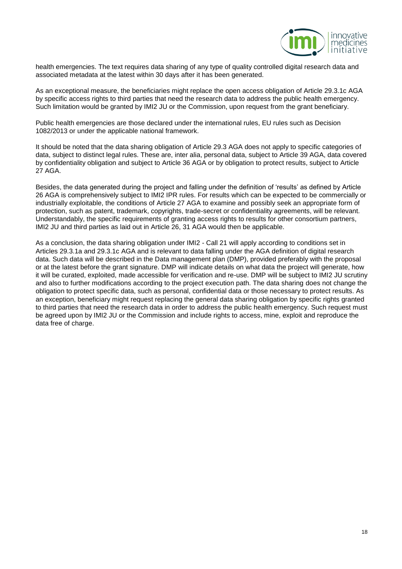

health emergencies. The text requires data sharing of any type of quality controlled digital research data and associated metadata at the latest within 30 days after it has been generated.

As an exceptional measure, the beneficiaries might replace the open access obligation of Article 29.3.1c AGA by specific access rights to third parties that need the research data to address the public health emergency. Such limitation would be granted by IMI2 JU or the Commission, upon request from the grant beneficiary.

Public health emergencies are those declared under the international rules, EU rules such as Decision 1082/2013 or under the applicable national framework.

It should be noted that the data sharing obligation of Article 29.3 AGA does not apply to specific categories of data, subject to distinct legal rules. These are, inter alia, personal data, subject to Article 39 AGA, data covered by confidentiality obligation and subject to Article 36 AGA or by obligation to protect results, subject to Article 27 AGA.

Besides, the data generated during the project and falling under the definition of 'results' as defined by Article 26 AGA is comprehensively subject to IMI2 IPR rules. For results which can be expected to be commercially or industrially exploitable, the conditions of Article 27 AGA to examine and possibly seek an appropriate form of protection, such as patent, trademark, copyrights, trade-secret or confidentiality agreements, will be relevant. Understandably, the specific requirements of granting access rights to results for other consortium partners, IMI2 JU and third parties as laid out in Article 26, 31 AGA would then be applicable.

As a conclusion, the data sharing obligation under IMI2 - Call 21 will apply according to conditions set in Articles 29.3.1a and 29.3.1c AGA and is relevant to data falling under the AGA definition of digital research data. Such data will be described in the Data management plan (DMP), provided preferably with the proposal or at the latest before the grant signature. DMP will indicate details on what data the project will generate, how it will be curated, exploited, made accessible for verification and re-use. DMP will be subject to IMI2 JU scrutiny and also to further modifications according to the project execution path. The data sharing does not change the obligation to protect specific data, such as personal, confidential data or those necessary to protect results. As an exception, beneficiary might request replacing the general data sharing obligation by specific rights granted to third parties that need the research data in order to address the public health emergency. Such request must be agreed upon by IMI2 JU or the Commission and include rights to access, mine, exploit and reproduce the data free of charge.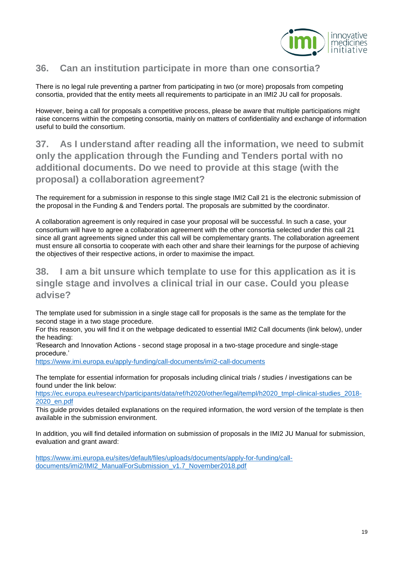

#### <span id="page-18-0"></span>**36. Can an institution participate in more than one consortia?**

There is no legal rule preventing a partner from participating in two (or more) proposals from competing consortia, provided that the entity meets all requirements to participate in an IMI2 JU call for proposals.

However, being a call for proposals a competitive process, please be aware that multiple participations might raise concerns within the competing consortia, mainly on matters of confidentiality and exchange of information useful to build the consortium.

# <span id="page-18-1"></span>**37. As I understand after reading all the information, we need to submit only the application through the Funding and Tenders portal with no additional documents. Do we need to provide at this stage (with the proposal) a collaboration agreement?**

The requirement for a submission in response to this single stage IMI2 Call 21 is the electronic submission of the proposal in the Funding & and Tenders portal. The proposals are submitted by the coordinator.

A collaboration agreement is only required in case your proposal will be successful. In such a case, your consortium will have to agree a collaboration agreement with the other consortia selected under this call 21 since all grant agreements signed under this call will be complementary grants. The collaboration agreement must ensure all consortia to cooperate with each other and share their learnings for the purpose of achieving the objectives of their respective actions, in order to maximise the impact.

## <span id="page-18-2"></span>**38. I am a bit unsure which template to use for this application as it is single stage and involves a clinical trial in our case. Could you please advise?**

The template used for submission in a single stage call for proposals is the same as the template for the second stage in a two stage procedure.

For this reason, you will find it on the webpage dedicated to essential IMI2 Call documents (link below), under the heading:

'Research and Innovation Actions - second stage proposal in a two-stage procedure and single-stage procedure.'

<https://www.imi.europa.eu/apply-funding/call-documents/imi2-call-documents>

The template for essential information for proposals including clinical trials / studies / investigations can be found under the link below:

[https://ec.europa.eu/research/participants/data/ref/h2020/other/legal/templ/h2020\\_tmpl-clinical-studies\\_2018-](https://ec.europa.eu/research/participants/data/ref/h2020/other/legal/templ/h2020_tmpl-clinical-studies_2018-2020_en.pdf) [2020\\_en.pdf](https://ec.europa.eu/research/participants/data/ref/h2020/other/legal/templ/h2020_tmpl-clinical-studies_2018-2020_en.pdf)

This guide provides detailed explanations on the required information, the word version of the template is then available in the submission environment.

In addition, you will find detailed information on submission of proposals in the IMI2 JU Manual for submission, evaluation and grant award:

[https://www.imi.europa.eu/sites/default/files/uploads/documents/apply-for-funding/call](https://www.imi.europa.eu/sites/default/files/uploads/documents/apply-for-funding/call-documents/imi2/IMI2_ManualForSubmission_v1.7_November2018.pdf)[documents/imi2/IMI2\\_ManualForSubmission\\_v1.7\\_November2018.pdf](https://www.imi.europa.eu/sites/default/files/uploads/documents/apply-for-funding/call-documents/imi2/IMI2_ManualForSubmission_v1.7_November2018.pdf)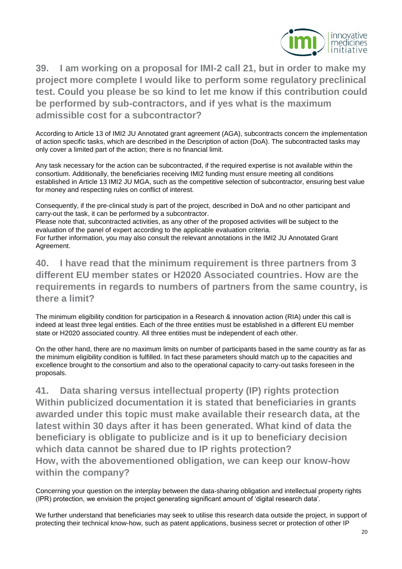

<span id="page-19-0"></span>**39. I am working on a proposal for IMI-2 call 21, but in order to make my project more complete I would like to perform some regulatory preclinical test. Could you please be so kind to let me know if this contribution could be performed by sub-contractors, and if yes what is the maximum admissible cost for a subcontractor?**

According to Article 13 of IMI2 JU Annotated grant agreement (AGA), subcontracts concern the implementation of action specific tasks, which are described in the Description of action (DoA). The subcontracted tasks may only cover a limited part of the action; there is no financial limit.

Any task necessary for the action can be subcontracted, if the required expertise is not available within the consortium. Additionally, the beneficiaries receiving IMI2 funding must ensure meeting all conditions established in Article 13 IMI2 JU MGA, such as the competitive selection of subcontractor, ensuring best value for money and respecting rules on conflict of interest.

Consequently, if the pre-clinical study is part of the project, described in DoA and no other participant and carry-out the task, it can be performed by a subcontractor.

Please note that, subcontracted activities, as any other of the proposed activities will be subject to the evaluation of the panel of expert according to the applicable evaluation criteria. For further information, you may also consult the relevant annotations in the IMI2 JU Annotated Grant Agreement.

<span id="page-19-1"></span>**40. I have read that the minimum requirement is three partners from 3 different EU member states or H2020 Associated countries. How are the requirements in regards to numbers of partners from the same country, is there a limit?**

The minimum eligibility condition for participation in a Research & innovation action (RIA) under this call is indeed at least three legal entities. Each of the three entities must be established in a different EU member state or H2020 associated country. All three entities must be independent of each other.

On the other hand, there are no maximum limits on number of participants based in the same country as far as the minimum eligibility condition is fulfilled. In fact these parameters should match up to the capacities and excellence brought to the consortium and also to the operational capacity to carry-out tasks foreseen in the proposals.

<span id="page-19-2"></span>**41. Data sharing versus intellectual property (IP) rights protection Within publicized documentation it is stated that beneficiaries in grants awarded under this topic must make available their research data, at the latest within 30 days after it has been generated. What kind of data the beneficiary is obligate to publicize and is it up to beneficiary decision which data cannot be shared due to IP rights protection? How, with the abovementioned obligation, we can keep our know-how within the company?**

Concerning your question on the interplay between the data-sharing obligation and intellectual property rights (IPR) protection, we envision the project generating significant amount of 'digital research data'.

We further understand that beneficiaries may seek to utilise this research data outside the project, in support of protecting their technical know-how, such as patent applications, business secret or protection of other IP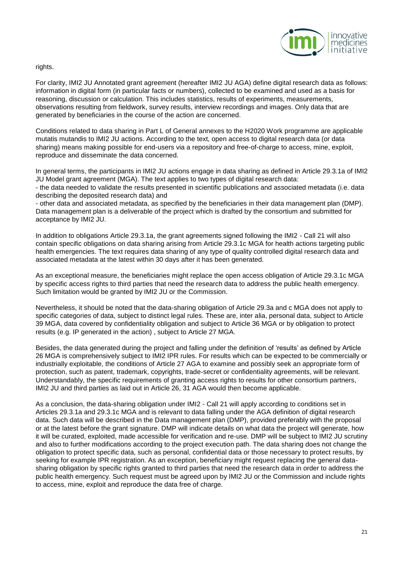

rights.

For clarity, IMI2 JU Annotated grant agreement (hereafter IMI2 JU AGA) define digital research data as follows: information in digital form (in particular facts or numbers), collected to be examined and used as a basis for reasoning, discussion or calculation. This includes statistics, results of experiments, measurements, observations resulting from fieldwork, survey results, interview recordings and images. Only data that are generated by beneficiaries in the course of the action are concerned.

Conditions related to data sharing in Part L of General annexes to the H2020 Work programme are applicable mutatis mutandis to IMI2 JU actions. According to the text, open access to digital research data (or data sharing) means making possible for end-users via a repository and free-of-charge to access, mine, exploit, reproduce and disseminate the data concerned.

In general terms, the participants in IMI2 JU actions engage in data sharing as defined in Article 29.3.1a of IMI2 JU Model grant agreement (MGA). The text applies to two types of digital research data: - the data needed to validate the results presented in scientific publications and associated metadata (i.e. data describing the deposited research data) and

- other data and associated metadata, as specified by the beneficiaries in their data management plan (DMP). Data management plan is a deliverable of the project which is drafted by the consortium and submitted for acceptance by IMI2 JU.

In addition to obligations Article 29.3.1a, the grant agreements signed following the IMI2 - Call 21 will also contain specific obligations on data sharing arising from Article 29.3.1c MGA for health actions targeting public health emergencies. The text requires data sharing of any type of quality controlled digital research data and associated metadata at the latest within 30 days after it has been generated.

As an exceptional measure, the beneficiaries might replace the open access obligation of Article 29.3.1c MGA by specific access rights to third parties that need the research data to address the public health emergency. Such limitation would be granted by IMI2 JU or the Commission.

Nevertheless, it should be noted that the data-sharing obligation of Article 29.3a and c MGA does not apply to specific categories of data, subject to distinct legal rules. These are, inter alia, personal data, subject to Article 39 MGA, data covered by confidentiality obligation and subject to Article 36 MGA or by obligation to protect results (e.g. IP generated in the action) , subject to Article 27 MGA.

Besides, the data generated during the project and falling under the definition of 'results' as defined by Article 26 MGA is comprehensively subject to IMI2 IPR rules. For results which can be expected to be commercially or industrially exploitable, the conditions of Article 27 AGA to examine and possibly seek an appropriate form of protection, such as patent, trademark, copyrights, trade-secret or confidentiality agreements, will be relevant. Understandably, the specific requirements of granting access rights to results for other consortium partners, IMI2 JU and third parties as laid out in Article 26, 31 AGA would then become applicable.

As a conclusion, the data-sharing obligation under IMI2 - Call 21 will apply according to conditions set in Articles 29.3.1a and 29.3.1c MGA and is relevant to data falling under the AGA definition of digital research data. Such data will be described in the Data management plan (DMP), provided preferably with the proposal or at the latest before the grant signature. DMP will indicate details on what data the project will generate, how it will be curated, exploited, made accessible for verification and re-use. DMP will be subject to IMI2 JU scrutiny and also to further modifications according to the project execution path. The data sharing does not change the obligation to protect specific data, such as personal, confidential data or those necessary to protect results, by seeking for example IPR registration. As an exception, beneficiary might request replacing the general datasharing obligation by specific rights granted to third parties that need the research data in order to address the public health emergency. Such request must be agreed upon by IMI2 JU or the Commission and include rights to access, mine, exploit and reproduce the data free of charge.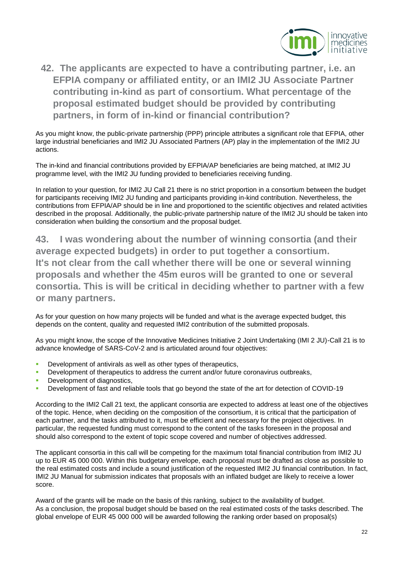

# <span id="page-21-0"></span>**42. The applicants are expected to have a contributing partner, i.e. an EFPIA company or affiliated entity, or an IMI2 JU Associate Partner contributing in-kind as part of consortium. What percentage of the proposal estimated budget should be provided by contributing partners, in form of in-kind or financial contribution?**

As you might know, the public-private partnership (PPP) principle attributes a significant role that EFPIA, other large industrial beneficiaries and IMI2 JU Associated Partners (AP) play in the implementation of the IMI2 JU actions.

The in-kind and financial contributions provided by EFPIA/AP beneficiaries are being matched, at IMI2 JU programme level, with the IMI2 JU funding provided to beneficiaries receiving funding.

In relation to your question, for IMI2 JU Call 21 there is no strict proportion in a consortium between the budget for participants receiving IMI2 JU funding and participants providing in-kind contribution. Nevertheless, the contributions from EFPIA/AP should be in line and proportioned to the scientific objectives and related activities described in the proposal. Additionally, the public-private partnership nature of the IMI2 JU should be taken into consideration when building the consortium and the proposal budget.

<span id="page-21-1"></span>**43. I was wondering about the number of winning consortia (and their average expected budgets) in order to put together a consortium. It's not clear from the call whether there will be one or several winning proposals and whether the 45m euros will be granted to one or several consortia. This is will be critical in deciding whether to partner with a few or many partners.** 

As for your question on how many projects will be funded and what is the average expected budget, this depends on the content, quality and requested IMI2 contribution of the submitted proposals.

As you might know, the scope of the Innovative Medicines Initiative 2 Joint Undertaking (IMI 2 JU)-Call 21 is to advance knowledge of SARS-CoV-2 and is articulated around four objectives:

- Development of antivirals as well as other types of therapeutics,
- Development of therapeutics to address the current and/or future coronavirus outbreaks,
- Development of diagnostics,
- Development of fast and reliable tools that go beyond the state of the art for detection of COVID-19

According to the IMI2 Call 21 text, the applicant consortia are expected to address at least one of the objectives of the topic. Hence, when deciding on the composition of the consortium, it is critical that the participation of each partner, and the tasks attributed to it, must be efficient and necessary for the project objectives. In particular, the requested funding must correspond to the content of the tasks foreseen in the proposal and should also correspond to the extent of topic scope covered and number of objectives addressed.

The applicant consortia in this call will be competing for the maximum total financial contribution from IMI2 JU up to EUR 45 000 000. Within this budgetary envelope, each proposal must be drafted as close as possible to the real estimated costs and include a sound justification of the requested IMI2 JU financial contribution. In fact, IMI2 JU Manual for submission indicates that proposals with an inflated budget are likely to receive a lower score.

Award of the grants will be made on the basis of this ranking, subject to the availability of budget. As a conclusion, the proposal budget should be based on the real estimated costs of the tasks described. The global envelope of EUR 45 000 000 will be awarded following the ranking order based on proposal(s)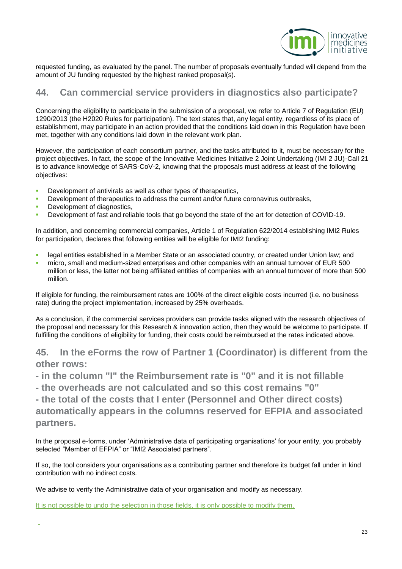

requested funding, as evaluated by the panel. The number of proposals eventually funded will depend from the amount of JU funding requested by the highest ranked proposal(s).

#### <span id="page-22-0"></span>**44. Can commercial service providers in diagnostics also participate?**

Concerning the eligibility to participate in the submission of a proposal, we refer to Article 7 of Regulation (EU) 1290/2013 (the H2020 Rules for participation). The text states that, any legal entity, regardless of its place of establishment, may participate in an action provided that the conditions laid down in this Regulation have been met, together with any conditions laid down in the relevant work plan.

However, the participation of each consortium partner, and the tasks attributed to it, must be necessary for the project objectives. In fact, the scope of the Innovative Medicines Initiative 2 Joint Undertaking (IMI 2 JU)-Call 21 is to advance knowledge of SARS-CoV-2, knowing that the proposals must address at least of the following objectives:

- Development of antivirals as well as other types of therapeutics,
- Development of therapeutics to address the current and/or future coronavirus outbreaks,
- Development of diagnostics,
- Development of fast and reliable tools that go beyond the state of the art for detection of COVID-19.

In addition, and concerning commercial companies, Article 1 of Regulation 622/2014 establishing IMI2 Rules for participation, declares that following entities will be eligible for IMI2 funding:

- legal entities established in a Member State or an associated country, or created under Union law; and
- micro, small and medium-sized enterprises and other companies with an annual turnover of EUR 500 million or less, the latter not being affiliated entities of companies with an annual turnover of more than 500 million.

If eligible for funding, the reimbursement rates are 100% of the direct eligible costs incurred (i.e. no business rate) during the project implementation, increased by 25% overheads.

As a conclusion, if the commercial services providers can provide tasks aligned with the research objectives of the proposal and necessary for this Research & innovation action, then they would be welcome to participate. If fulfilling the conditions of eligibility for funding, their costs could be reimbursed at the rates indicated above.

<span id="page-22-1"></span>**45. In the eForms the row of Partner 1 (Coordinator) is different from the other rows:** 

**- in the column "I" the Reimbursement rate is "0" and it is not fillable**

**- the overheads are not calculated and so this cost remains "0"**

**- the total of the costs that I enter (Personnel and Other direct costs) automatically appears in the columns reserved for EFPIA and associated** 

**partners.**

In the proposal e-forms, under 'Administrative data of participating organisations' for your entity, you probably selected "Member of EFPIA" or "IMI2 Associated partners".

If so, the tool considers your organisations as a contributing partner and therefore its budget fall under in kind contribution with no indirect costs.

We advise to verify the Administrative data of your organisation and modify as necessary.

It is not possible to undo the selection in those fields, it is only possible to modify them.